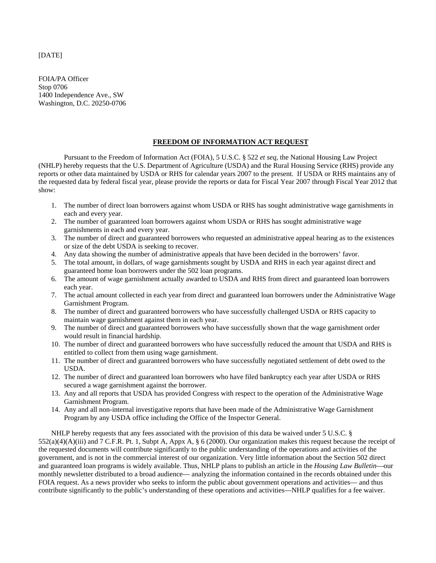## [DATE]

FOIA/PA Officer Stop 0706 1400 Independence Ave., SW Washington, D.C. 20250-0706

## **FREEDOM OF INFORMATION ACT REQUEST**

Pursuant to the Freedom of Information Act (FOIA), 5 U.S.C. § 522 *et seq,* the National Housing Law Project (NHLP) hereby requests that the U.S. Department of Agriculture (USDA) and the Rural Housing Service (RHS) provide any reports or other data maintained by USDA or RHS for calendar years 2007 to the present. If USDA or RHS maintains any of the requested data by federal fiscal year, please provide the reports or data for Fiscal Year 2007 through Fiscal Year 2012 that show:

- 1. The number of direct loan borrowers against whom USDA or RHS has sought administrative wage garnishments in each and every year.
- 2. The number of guaranteed loan borrowers against whom USDA or RHS has sought administrative wage garnishments in each and every year.
- 3. The number of direct and guaranteed borrowers who requested an administrative appeal hearing as to the existences or size of the debt USDA is seeking to recover.
- 4. Any data showing the number of administrative appeals that have been decided in the borrowers' favor.
- 5. The total amount, in dollars, of wage garnishments sought by USDA and RHS in each year against direct and guaranteed home loan borrowers under the 502 loan programs.
- 6. The amount of wage garnishment actually awarded to USDA and RHS from direct and guaranteed loan borrowers each year.
- 7. The actual amount collected in each year from direct and guaranteed loan borrowers under the Administrative Wage Garnishment Program.
- 8. The number of direct and guaranteed borrowers who have successfully challenged USDA or RHS capacity to maintain wage garnishment against them in each year.
- 9. The number of direct and guaranteed borrowers who have successfully shown that the wage garnishment order would result in financial hardship.
- 10. The number of direct and guaranteed borrowers who have successfully reduced the amount that USDA and RHS is entitled to collect from them using wage garnishment.
- 11. The number of direct and guaranteed borrowers who have successfully negotiated settlement of debt owed to the USDA.
- 12. The number of direct and guaranteed loan borrowers who have filed bankruptcy each year after USDA or RHS secured a wage garnishment against the borrower.
- 13. Any and all reports that USDA has provided Congress with respect to the operation of the Administrative Wage Garnishment Program.
- 14. Any and all non-internal investigative reports that have been made of the Administrative Wage Garnishment Program by any USDA office including the Office of the Inspector General.

NHLP hereby requests that any fees associated with the provision of this data be waived under 5 U.S.C. § 552(a)(4)(A)(iii) and 7 C.F.R. Pt. 1, Subpt A, Appx A, § 6 (2000). Our organization makes this request because the receipt of the requested documents will contribute significantly to the public understanding of the operations and activities of the government, and is not in the commercial interest of our organization. Very little information about the Section 502 direct and guaranteed loan programs is widely available. Thus, NHLP plans to publish an article in the *Housing Law Bulletin*—our monthly newsletter distributed to a broad audience— analyzing the information contained in the records obtained under this FOIA request. As a news provider who seeks to inform the public about government operations and activities— and thus contribute significantly to the public's understanding of these operations and activities—NHLP qualifies for a fee waiver.